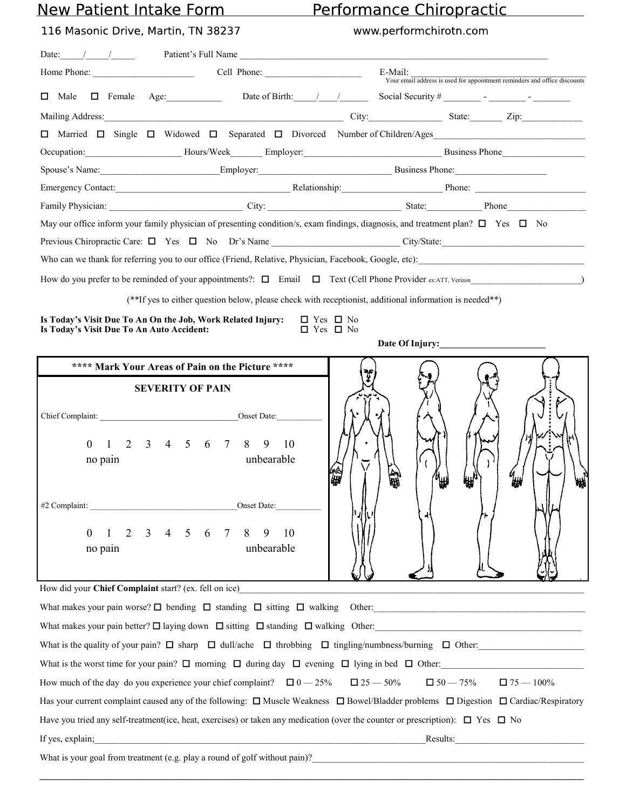## New Patient Intake Form

**5242 Main Street Spring Hill, TN 37174 Phone (615) 302-4747 Fax (615) 302-4748 Website: www.imsjc.com**

## **Induced Motion Spine Batism**<br>International Patient Information Computer Information Information Information Information

|                                                                                                                                       |                                                                                        | Home Phone: Cell Phone: Cell Phone:                                                                                                                                                                                                 | E-Mail:              | Your email address is used for appointment reminders and office discounts |
|---------------------------------------------------------------------------------------------------------------------------------------|----------------------------------------------------------------------------------------|-------------------------------------------------------------------------------------------------------------------------------------------------------------------------------------------------------------------------------------|----------------------|---------------------------------------------------------------------------|
|                                                                                                                                       |                                                                                        |                                                                                                                                                                                                                                     |                      |                                                                           |
|                                                                                                                                       |                                                                                        |                                                                                                                                                                                                                                     |                      |                                                                           |
|                                                                                                                                       |                                                                                        | □ Married □ Single □ Widowed □ Separated □ Divorced Number of Children/Ages                                                                                                                                                         |                      |                                                                           |
|                                                                                                                                       |                                                                                        | Occupation: Hours/Week Employer: Business Phone Business Phone Business Phone Business Phone Business Phone Business Phone Business Phone Business Phone Business Phone Business Phone Business Phone Business Phone Business       |                      |                                                                           |
|                                                                                                                                       |                                                                                        | Spouse's Name: Employer: Employer: Business Phone:                                                                                                                                                                                  |                      |                                                                           |
|                                                                                                                                       |                                                                                        | Emergency Contact: Contact: Contact: Contact: Contact: Contact: Contact: Contact: Contact: Contact: Contact: Contact: Contact: Contact: Contact: Contact: Contact: Contact: Contact: Contact: Contact: Contact: Contact: Conta      |                      |                                                                           |
|                                                                                                                                       |                                                                                        | Family Physician: <u>City:</u> City: City: State: Phone Phone Phone Phone Phone Phone Phone Phone Phone Phone Phone Phone Phone Phone Phone Phone Phone Phone Phone Phone Phone Phone Phone Phone Phone Phone Phone Phone Phone Pho |                      |                                                                           |
|                                                                                                                                       |                                                                                        | May our office inform your family physician of presenting condition/s, exam findings, diagnosis, and treatment plan? $\Box$ Yes $\Box$ No                                                                                           |                      |                                                                           |
|                                                                                                                                       |                                                                                        |                                                                                                                                                                                                                                     |                      |                                                                           |
|                                                                                                                                       |                                                                                        | Who can we thank for referring you to our office (Friend, Relative, Physician, Facebook, Google, etc):                                                                                                                              |                      |                                                                           |
|                                                                                                                                       |                                                                                        |                                                                                                                                                                                                                                     |                      |                                                                           |
|                                                                                                                                       |                                                                                        | (**If yes to either question below, please check with receptionist, additional information is needed**)                                                                                                                             |                      |                                                                           |
| Is Today's Visit Due To An On the Job, Work Related Injury:                                                                           |                                                                                        | $\Box$ Yes $\Box$ No                                                                                                                                                                                                                |                      |                                                                           |
| Is Today's Visit Due To An Auto Accident:                                                                                             |                                                                                        |                                                                                                                                                                                                                                     | $\Box$ Yes $\Box$ No |                                                                           |
|                                                                                                                                       |                                                                                        |                                                                                                                                                                                                                                     |                      |                                                                           |
|                                                                                                                                       | **** Mark Your Areas of Pain on the Picture ****                                       |                                                                                                                                                                                                                                     |                      |                                                                           |
| Chief Complaint: Onset Date:<br>$\theta$<br>no pain<br>#2 Complaint:<br>$\overline{2}$<br>$\boldsymbol{0}$<br>$\mathbf{1}$<br>no pain | <b>SEVERITY OF PAIN</b><br>1 2 3 4 5 6 7 8 9 10<br>$4\quad 5\quad 6$<br>3 <sup>1</sup> | unbearable<br>Onset Date:<br>$7\phantom{.0}$<br>8<br>9<br>10<br>unbearable                                                                                                                                                          | ÜМ                   |                                                                           |
| How did your Chief Complaint start? (ex. fell on ice)                                                                                 |                                                                                        |                                                                                                                                                                                                                                     |                      |                                                                           |
|                                                                                                                                       |                                                                                        |                                                                                                                                                                                                                                     |                      |                                                                           |
|                                                                                                                                       |                                                                                        | What makes your pain better? $\square$ laying down $\square$ sitting $\square$ standing $\square$ walking Other:                                                                                                                    |                      |                                                                           |
|                                                                                                                                       |                                                                                        | What is the quality of your pain? $\Box$ sharp $\Box$ dull/ache $\Box$ throbbing $\Box$ tingling/numbness/burning $\Box$ Other:                                                                                                     |                      |                                                                           |
|                                                                                                                                       |                                                                                        | What is the worst time for your pain? $\square$ morning $\square$ during day $\square$ evening $\square$ lying in bed $\square$ Other:                                                                                              |                      |                                                                           |
|                                                                                                                                       |                                                                                        | How much of the day do you experience your chief complaint? $\Box 0 - 25\%$ $\Box 25 - 50\%$ $\Box 50 - 75\%$ $\Box 75 - 100\%$                                                                                                     |                      |                                                                           |
|                                                                                                                                       |                                                                                        | Has your current complaint caused any of the following: $\Box$ Muscle Weakness $\Box$ Bowel/Bladder problems $\Box$ Digestion $\Box$ Cardiac/Respiratory                                                                            |                      |                                                                           |
|                                                                                                                                       |                                                                                        | Have you tried any self-treatment(ice, heat, exercises) or taken any medication (over the counter or prescription): $\Box$ Yes $\Box$ No                                                                                            |                      |                                                                           |
|                                                                                                                                       |                                                                                        | If yes, explain; explaining the state of the state of the state of the state of the state of the state of the state of the state of the state of the state of the state of the state of the state of the state of the state of      |                      |                                                                           |
|                                                                                                                                       |                                                                                        | What is your goal from treatment (e.g. play a round of golf without pain)?                                                                                                                                                          |                      |                                                                           |
|                                                                                                                                       |                                                                                        |                                                                                                                                                                                                                                     |                      |                                                                           |